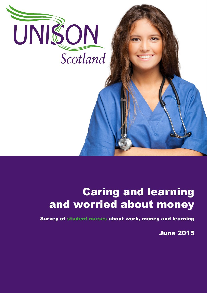

## Caring and learning and worried about money

Survey of student nurses about work, money and learning

June 2015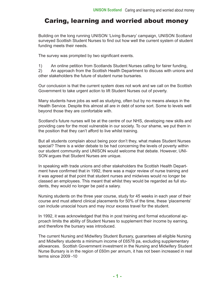## Caring, learning and worried about money

Building on the long running UNISON 'Living Bursary' campaign, UNISON Scotland surveyed Scottish Student Nurses to find out how well the current system of student funding meets their needs.

The survey was prompted by two significant events.

1) An online petition from Scotlands Student Nurses calling for fairer funding,

2) An approach from the Scottish Health Department to discuss with unions and other stakeholders the future of student nurse bursaries.

Our conclusion is that the current system does not work and we call on the Scottish Government to take urgent action to lift Student Nurses out of poverty.

Many students have jobs as well as studying, often but by no means always in the Health Service. Despite this almost all are in debt of some sort. Some to levels well beyond those they are comfortable with.

Scotland's future nurses will be at the centre of our NHS, developing new skills and providing care for the most vulnerable in our society. To our shame, we put them in the position that they can't afford to live whilst training.

But all students complain about being poor don't they, what makes Student Nurses special? There is a wider debate to be had concerning the levels of poverty within our student community and UNISON would welcome that debate. However, UNI-SON argues that Student Nurses are unique.

In speaking with trade unions and other stakeholders the Scottish Health Department have confirmed that in 1992, there was a major review of nurse training and it was agreed at that point that student nurses and midwives would no longer be classed an employees. This meant that whilst they would be regarded as full students, they would no longer be paid a salary.

Nursing students on the three year course, study for 45 weeks in each year of their course and must attend clinical placements for 50% of the time, these 'placements' can include unsocial hours and may incur excess travel for the student.

In 1992, it was acknowledged that this in post training and formal educational approach limits the ability of Student Nurses to supplement their income by earning, and therefore the bursary was introduced.

The current Nursing and Midwifery Student Bursary, guarantees all eligible Nursing and Midwifery students a minimum income of £6578 pa, excluding supplementary allowances. Scottish Government investment in the Nursing and Midwifery Student Nurse Bursary is in the region of £60m per annum, it has not been increased in real terms since 2009 -10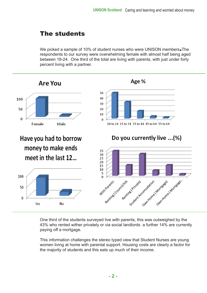## The students

We picked a sample of 10% of student nurses who were UNISON members. The respondents to our survey were overwhelming female with almost half being aged between 18-24. One third of the total are living with parents, with just under forty percent living with a partner.



One third of the students surveyed live with parents, this was outweighed by the 43% who rented wither privately or via social landlords a further 14% are currently paying off a mortgage.

This information challenges the stereo typed view that Student Nurses are young women living at home with parental support. Housing costs are clearly a factor for the majority of students and this eats up much of their income.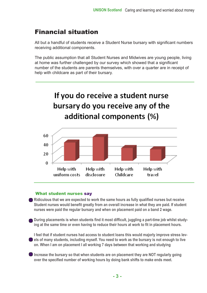## Financial situation

All but a handful of students receive a Student Nurse bursary with significant numbers receiving additional components.

The public assumption that all Student Nurses and Midwives are young people, living at home was further challenged by our survey which showed that a significant number of the students are parents themselves, with over a quarter are in receipt of help with childcare as part of their bursary.



#### What student nurses say

**Ridiculous that we are expected to work the same hours as fully qualified nurses but receive Student nurses would benefit greatly from an overall increase in what they are paid. If student nurses were paid the regular bursary and when on placement paid on a band 2 wage.** 

**During placements is when students find it most difficult, juggling a part-time job whilst studying at the same time or even having to reduce their hours at work to fit in placement hours.** 

**I feel that if student nurses had access to student loans this would majorly improve stress levels of many students, including myself. You need to work as the bursary is not enough to live on. When I am on placement I all working 7 days between that working and studying** 

**Increase the bursary so that when students are on placement they are NOT regularly going over the specified number of working hours by doing bank shifts to make ends meet.**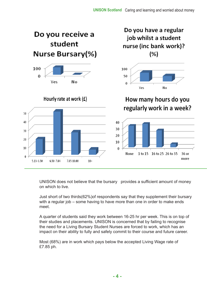

UNISON does not believe that the bursary provides a sufficient amount of money on which to live.

Just short of two thirds(62%)of respondents say that they supplement their bursary with a regular job – some having to have more than one in order to make ends meet.

A quarter of students said they work between 16-25 hr per week. This is on top of their studies and placements. UNISON is concerned that by failing to recognise the need for a Living Bursary Student Nurses are forced to work, which has an impact on their ability to fully and safely commit to their course and future career.

Most (68%) are in work which pays below the accepted Living Wage rate of £7.85 ph.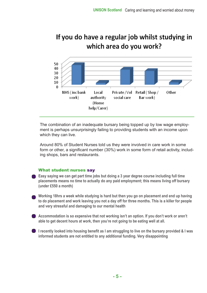## If you do have a regular job whilst studying in which area do you work?



The combination of an inadequate bursary being topped up by low wage employment is perhaps unsurprisingly failing to providing students with an income upon which they can live.

Around 80% of Student Nurses told us they were involved in care work in some form or other, a significant number (30%) work in some form of retail activity, including shops, bars and restaurants.

#### What student nurses say

- **Easy saying we can get part time jobs but doing a 3 year degree course including full time placements means no time to actually do any paid employment; this means living off bursary (under £550 a month)**
- **Working 18hrs a week while studying is hard but then you go on placement and end up having to do placement and work leaving you not a day off for three months. This is a killer for people and very stressful and damaging to our mental health**
- **Accommodation is so expensive that not working isn't an option. If you don't work or aren't able to get decent hours at work, then you're not going to be eating well at all.**
- **I recently looked into housing benefit as I am struggling to live on the bursary provided & I was informed students are not entitled to any additional funding. Very disappointing**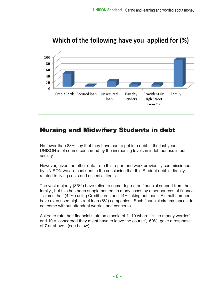

## Which of the following have you applied for (%)

## Nursing and Midwifery Students in debt

No fewer than 83% say that they have had to get into debt in the last year. UNISON is of course concerned by the increasing levels in indebtedness in our society.

However, given the other data from this report and work previously commissioned by UNISON we are confident in the conclusion that this Student debt is directly related to living costs and essential items.

The vast majority (85%) have relied to some degree on financial support from their family , but this has been supplemented in many cases by other sources of finance – almost half (42%) using Credit cards and 14% taking out loans. A small number have even used high street loan (6%) companies. Such financial circumstances do not come without attendant worries and concerns.

Asked to rate their financial state on a scale of 1- 10 where 1= 'no money worries', and 10 = 'concerned they might have to leave the course', 60% gave a response of 7 or above. (see below)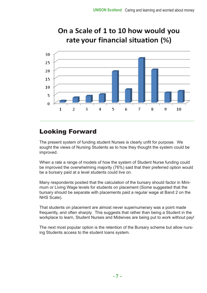

# On a Scale of 1 to 10 how would you

## Looking Forward

The present system of funding student Nurses is clearly unfit for purpose. We sought the views of Nursing Students as to how they thought the system could be improved.

When a rate a range of models of how the system of Student Nurse funding could be improved the overwhelming majority (76%) said that their preferred option would be a bursary paid at a level students could live on.

Many respondents posited that the calculation of the bursary should factor in Minimum or Living Wage levels for students on placement (Some suggested that the bursary should be separate with placements paid a regular wage at Band 2 on the NHS Scale).

That students on placement are almost never supernumerary was a point made frequently, and often sharply. This suggests that rather than being a Student in the workplace to learn, Student Nurses and Midwives are being put to work without pay!

The next most popular option is the retention of the Bursary scheme but allow nursing Students access to the student loans system.